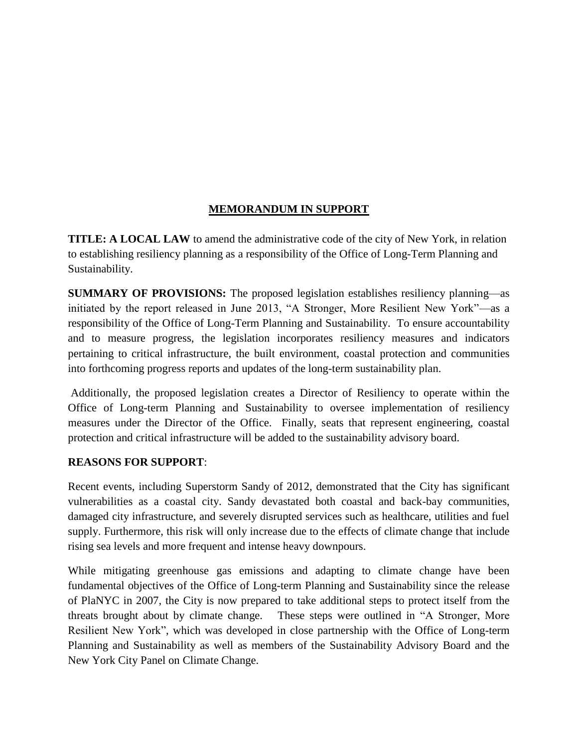## **MEMORANDUM IN SUPPORT**

**TITLE: A LOCAL LAW** to amend the administrative code of the city of New York, in relation to establishing resiliency planning as a responsibility of the Office of Long-Term Planning and Sustainability.

**SUMMARY OF PROVISIONS:** The proposed legislation establishes resiliency planning—as initiated by the report released in June 2013, "A Stronger, More Resilient New York"—as a responsibility of the Office of Long-Term Planning and Sustainability. To ensure accountability and to measure progress, the legislation incorporates resiliency measures and indicators pertaining to critical infrastructure, the built environment, coastal protection and communities into forthcoming progress reports and updates of the long-term sustainability plan.

Additionally, the proposed legislation creates a Director of Resiliency to operate within the Office of Long-term Planning and Sustainability to oversee implementation of resiliency measures under the Director of the Office. Finally, seats that represent engineering, coastal protection and critical infrastructure will be added to the sustainability advisory board.

## **REASONS FOR SUPPORT**:

Recent events, including Superstorm Sandy of 2012, demonstrated that the City has significant vulnerabilities as a coastal city. Sandy devastated both coastal and back-bay communities, damaged city infrastructure, and severely disrupted services such as healthcare, utilities and fuel supply. Furthermore, this risk will only increase due to the effects of climate change that include rising sea levels and more frequent and intense heavy downpours.

While mitigating greenhouse gas emissions and adapting to climate change have been fundamental objectives of the Office of Long-term Planning and Sustainability since the release of PlaNYC in 2007, the City is now prepared to take additional steps to protect itself from the threats brought about by climate change. These steps were outlined in "A Stronger, More Resilient New York", which was developed in close partnership with the Office of Long-term Planning and Sustainability as well as members of the Sustainability Advisory Board and the New York City Panel on Climate Change.